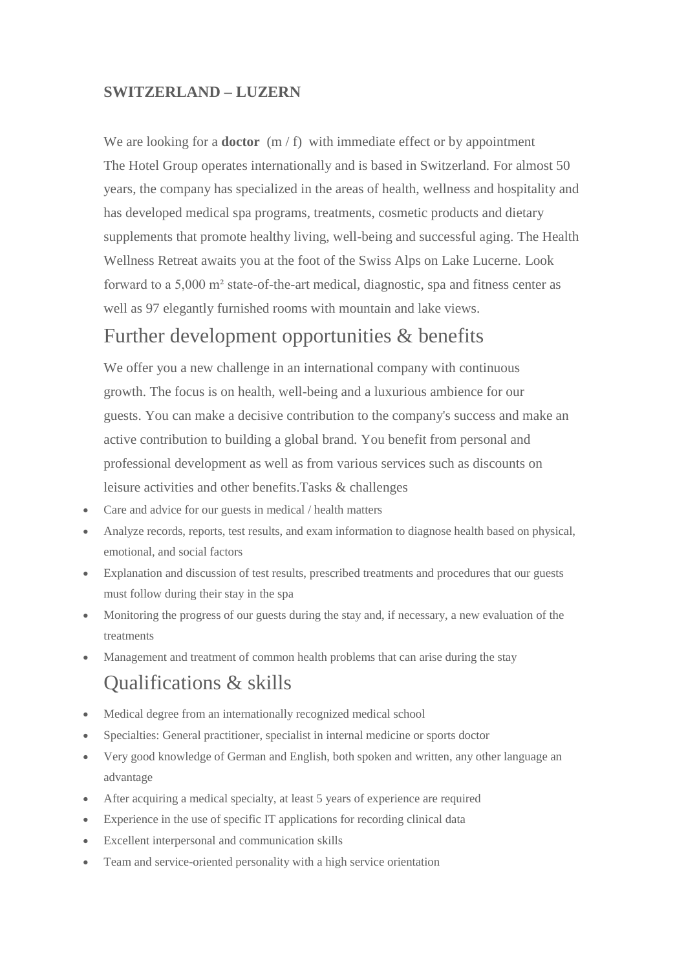## **SWITZERLAND – LUZERN**

We are looking for a **doctor** (m / f) with immediate effect or by appointment The Hotel Group operates internationally and is based in Switzerland. For almost 50 years, the company has specialized in the areas of health, wellness and hospitality and has developed medical spa programs, treatments, cosmetic products and dietary supplements that promote healthy living, well-being and successful aging. The Health Wellness Retreat awaits you at the foot of the Swiss Alps on Lake Lucerne. Look forward to a 5,000 m² state-of-the-art medical, diagnostic, spa and fitness center as well as 97 elegantly furnished rooms with mountain and lake views.

## Further development opportunities & benefits

We offer you a new challenge in an international company with continuous growth. The focus is on health, well-being and a luxurious ambience for our guests. You can make a decisive contribution to the company's success and make an active contribution to building a global brand. You benefit from personal and professional development as well as from various services such as discounts on leisure activities and other benefits.Tasks & challenges

- Care and advice for our guests in medical / health matters
- Analyze records, reports, test results, and exam information to diagnose health based on physical, emotional, and social factors
- Explanation and discussion of test results, prescribed treatments and procedures that our guests must follow during their stay in the spa
- Monitoring the progress of our guests during the stay and, if necessary, a new evaluation of the treatments
- Management and treatment of common health problems that can arise during the stay

## Qualifications & skills

- Medical degree from an internationally recognized medical school
- Specialties: General practitioner, specialist in internal medicine or sports doctor
- Very good knowledge of German and English, both spoken and written, any other language an advantage
- After acquiring a medical specialty, at least 5 years of experience are required
- Experience in the use of specific IT applications for recording clinical data
- Excellent interpersonal and communication skills
- Team and service-oriented personality with a high service orientation